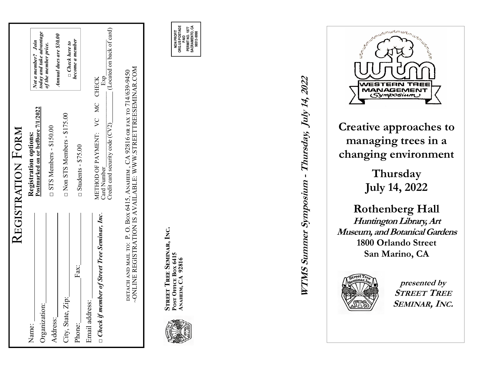|                                                        | <b>KEGISTRATION FORM</b>                                                                                                                    |                                                 |
|--------------------------------------------------------|---------------------------------------------------------------------------------------------------------------------------------------------|-------------------------------------------------|
| Name:                                                  | Registration options:                                                                                                                       |                                                 |
| Organization:                                          | Postmarked on or bef0ore 7/1/2022                                                                                                           | today and take advantage<br>Not a member? Join  |
| Address:                                               | $\square$ STS Members - \$150.00                                                                                                            | Annual dues are \$30.00<br>of the member price. |
| City, State, Zip:                                      | □ Non STS Members - \$175.00                                                                                                                | $\Box$ Check here to                            |
| Fax:<br>Phone:                                         | $\Box$ Students - \$75.00                                                                                                                   | become a member                                 |
| Email address:                                         |                                                                                                                                             |                                                 |
| of Street Tree Seminar, Inc.<br>$\Box$ Check if member | Exp<br>METHOD OF PAYMENT: VC MC CHECK<br>Card Number                                                                                        |                                                 |
|                                                        | Credit card security code (CV2)                                                                                                             | (Located on back of card)                       |
|                                                        | -ONLINE REGISTRATION IS AVAILABLE: WWW.STREETTREESEMINAR.COM<br>detach and mail to: P.O. Box 6415, Anahemi, CA 92816 or fax to 714/639-9450 |                                                 |



**Aඇൺඁൾංආ, CA 92816 NON PROFIT** 

**ORG.US POSTAGE SACRAMENTO, CA PERMIT NO. 1877**  NON PROFIT<br>ORG.US POSTAG **98513-9998 PAID** 

**WTMS Summer Symposium - Thursday, July 14, 2022** 



**Creative approaches to managing trees in a changing environment** 

> **Thursday July 14, 2022**

**Rothenberg Hall Huntington Library, Art Museum, and Botanical Gardens 1800 Orlando Street San Marino, CA SEMINAR, INC. SEMINAR, INC.** THERE



**presented by STREET TREE**